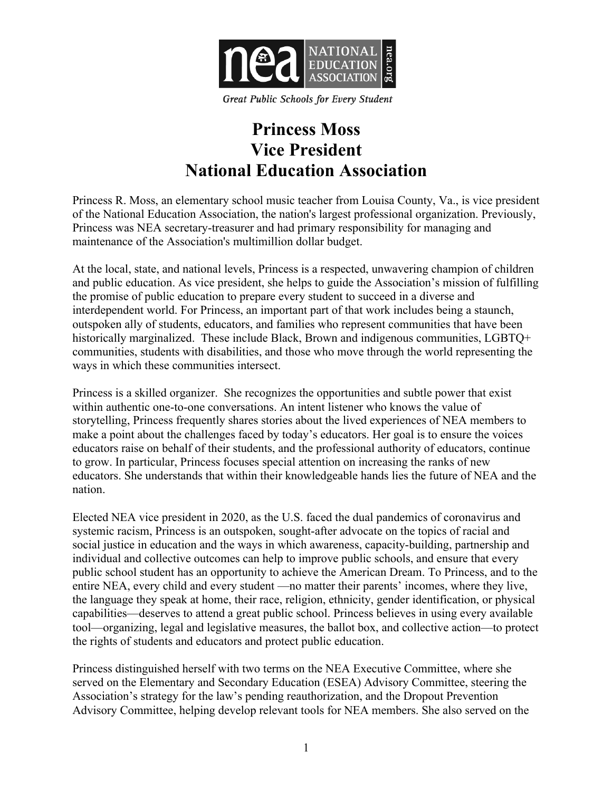

**Great Public Schools for Every Student** 

## **Princess Moss Vice President National Education Association**

Princess R. Moss, an elementary school music teacher from Louisa County, Va., is vice president of the National Education Association, the nation's largest professional organization. Previously, Princess was NEA secretary-treasurer and had primary responsibility for managing and maintenance of the Association's multimillion dollar budget.

At the local, state, and national levels, Princess is a respected, unwavering champion of children and public education. As vice president, she helps to guide the Association's mission of fulfilling the promise of public education to prepare every student to succeed in a diverse and interdependent world. For Princess, an important part of that work includes being a staunch, outspoken ally of students, educators, and families who represent communities that have been historically marginalized. These include Black, Brown and indigenous communities, LGBTQ+ communities, students with disabilities, and those who move through the world representing the ways in which these communities intersect.

Princess is a skilled organizer. She recognizes the opportunities and subtle power that exist within authentic one-to-one conversations. An intent listener who knows the value of storytelling, Princess frequently shares stories about the lived experiences of NEA members to make a point about the challenges faced by today's educators. Her goal is to ensure the voices educators raise on behalf of their students, and the professional authority of educators, continue to grow. In particular, Princess focuses special attention on increasing the ranks of new educators. She understands that within their knowledgeable hands lies the future of NEA and the nation.

Elected NEA vice president in 2020, as the U.S. faced the dual pandemics of coronavirus and systemic racism, Princess is an outspoken, sought-after advocate on the topics of racial and social justice in education and the ways in which awareness, capacity-building, partnership and individual and collective outcomes can help to improve public schools, and ensure that every public school student has an opportunity to achieve the American Dream. To Princess, and to the entire NEA, every child and every student —no matter their parents' incomes, where they live, the language they speak at home, their race, religion, ethnicity, gender identification, or physical capabilities—deserves to attend a great public school. Princess believes in using every available tool—organizing, legal and legislative measures, the ballot box, and collective action—to protect the rights of students and educators and protect public education.

Princess distinguished herself with two terms on the NEA Executive Committee, where she served on the Elementary and Secondary Education (ESEA) Advisory Committee, steering the Association's strategy for the law's pending reauthorization, and the Dropout Prevention Advisory Committee, helping develop relevant tools for NEA members. She also served on the